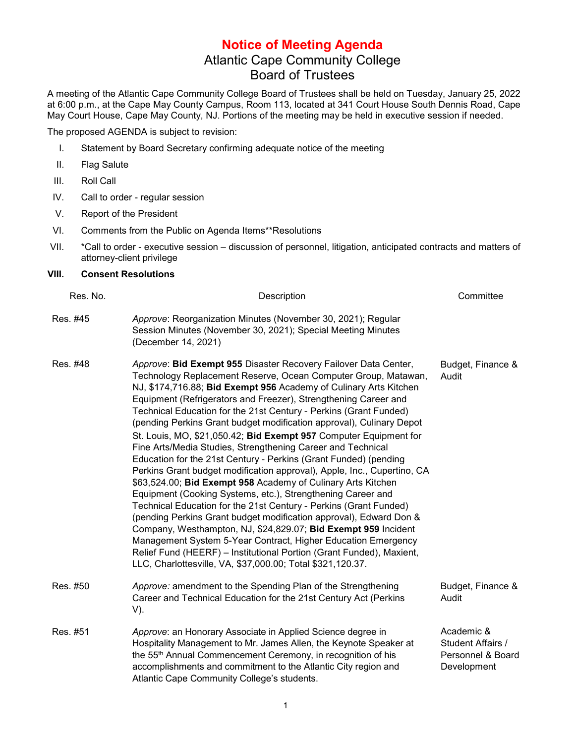## **Notice of Meeting Agenda** Atlantic Cape Community College Board of Trustees

A meeting of the Atlantic Cape Community College Board of Trustees shall be held on Tuesday, January 25, 2022 at 6:00 p.m., at the Cape May County Campus, Room 113, located at 341 Court House South Dennis Road, Cape May Court House, Cape May County, NJ. Portions of the meeting may be held in executive session if needed.

The proposed AGENDA is subject to revision:

- I. Statement by Board Secretary confirming adequate notice of the meeting
- II. Flag Salute
- III. Roll Call
- IV. Call to order regular session
- V. Report of the President
- VI. Comments from the Public on Agenda Items\*\*Resolutions
- VII. \*Call to order executive session discussion of personnel, litigation, anticipated contracts and matters of attorney-client privilege

## **VIII. Consent Resolutions**

| Res. No. | Description                                                                                                                                                                                                                                                                                                                                                                                                                                                                                                                                                                                                                                                                                                                                                                                                                                                                                                                                                                                                                                                                                                                                                                                                                                                  | Committee                                                           |
|----------|--------------------------------------------------------------------------------------------------------------------------------------------------------------------------------------------------------------------------------------------------------------------------------------------------------------------------------------------------------------------------------------------------------------------------------------------------------------------------------------------------------------------------------------------------------------------------------------------------------------------------------------------------------------------------------------------------------------------------------------------------------------------------------------------------------------------------------------------------------------------------------------------------------------------------------------------------------------------------------------------------------------------------------------------------------------------------------------------------------------------------------------------------------------------------------------------------------------------------------------------------------------|---------------------------------------------------------------------|
| Res. #45 | Approve: Reorganization Minutes (November 30, 2021); Regular<br>Session Minutes (November 30, 2021); Special Meeting Minutes<br>(December 14, 2021)                                                                                                                                                                                                                                                                                                                                                                                                                                                                                                                                                                                                                                                                                                                                                                                                                                                                                                                                                                                                                                                                                                          |                                                                     |
| Res. #48 | Approve: Bid Exempt 955 Disaster Recovery Failover Data Center,<br>Technology Replacement Reserve, Ocean Computer Group, Matawan,<br>NJ, \$174,716.88; Bid Exempt 956 Academy of Culinary Arts Kitchen<br>Equipment (Refrigerators and Freezer), Strengthening Career and<br>Technical Education for the 21st Century - Perkins (Grant Funded)<br>(pending Perkins Grant budget modification approval), Culinary Depot<br>St. Louis, MO, \$21,050.42; Bid Exempt 957 Computer Equipment for<br>Fine Arts/Media Studies, Strengthening Career and Technical<br>Education for the 21st Century - Perkins (Grant Funded) (pending<br>Perkins Grant budget modification approval), Apple, Inc., Cupertino, CA<br>\$63,524.00; Bid Exempt 958 Academy of Culinary Arts Kitchen<br>Equipment (Cooking Systems, etc.), Strengthening Career and<br>Technical Education for the 21st Century - Perkins (Grant Funded)<br>(pending Perkins Grant budget modification approval), Edward Don &<br>Company, Westhampton, NJ, \$24,829.07; Bid Exempt 959 Incident<br>Management System 5-Year Contract, Higher Education Emergency<br>Relief Fund (HEERF) - Institutional Portion (Grant Funded), Maxient,<br>LLC, Charlottesville, VA, \$37,000.00; Total \$321,120.37. | Budget, Finance &<br>Audit                                          |
| Res. #50 | Approve: amendment to the Spending Plan of the Strengthening<br>Career and Technical Education for the 21st Century Act (Perkins<br>V).                                                                                                                                                                                                                                                                                                                                                                                                                                                                                                                                                                                                                                                                                                                                                                                                                                                                                                                                                                                                                                                                                                                      | Budget, Finance &<br>Audit                                          |
| Res. #51 | Approve: an Honorary Associate in Applied Science degree in<br>Hospitality Management to Mr. James Allen, the Keynote Speaker at<br>the 55 <sup>th</sup> Annual Commencement Ceremony, in recognition of his<br>accomplishments and commitment to the Atlantic City region and<br>Atlantic Cape Community College's students.                                                                                                                                                                                                                                                                                                                                                                                                                                                                                                                                                                                                                                                                                                                                                                                                                                                                                                                                | Academic &<br>Student Affairs /<br>Personnel & Board<br>Development |